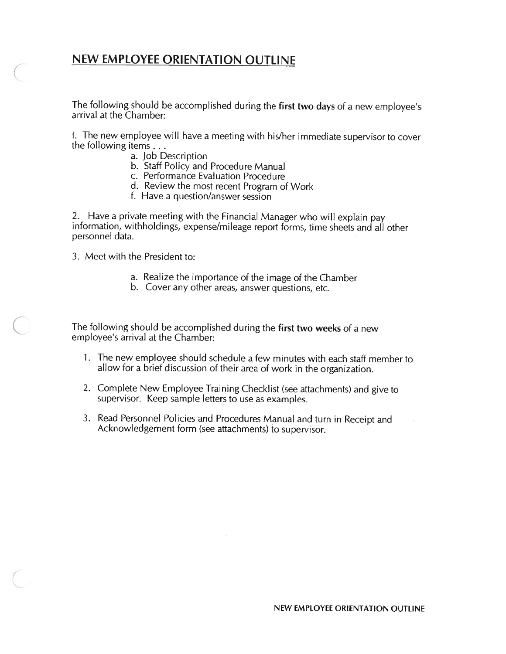## NEW EMPLOYEE ORIENTATION OUTLINE

The following should be accomplished during the first two days of a new employee's arrival at the Chamber:

I. The new employee will have <sup>a</sup> meeting with his/her immediate supervisor to cover the following items...

- a. Job Description
- b. Staff Policy and Procedure Manual
- c. Performance Evaluation Procedure
- d. Review the most recent Program of Work
- f. Have <sup>a</sup> question/answer session

2. Have <sup>a</sup> private meeting with the Financial Manager who will explain pay information, withholdings, expense/mileage repor<sup>t</sup> forms, time sheets and all other personnel data.

3. Meet with the President to:

- a. Realize the importance of the image of the Chamber
- b. Cover any other areas, answer questions, etc.

The following should be accomplished during the first two weeks of a new employee's arrival at the Chamber:

- 1. The new employee should schedule <sup>a</sup> few minutes with each staff member to allow for <sup>a</sup> brief discussion of their area of work in the organization.
- 2. Complete New Employee Training Checklist (see attachments) and <sup>g</sup>ive to supervisor. Keep sample letters to use as examples.
- 3. Read Personnel Policies and Procedures Manual and turn in Receipt and Acknowledgement form (see attachments) to supervisor.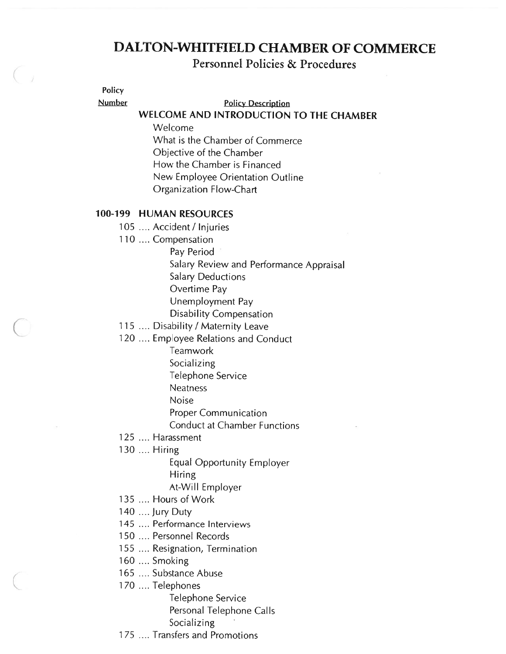# DALTON-WHITFIELD CHAMBER OF COMMERCE

Personnel Policies & Procedures

Policy

Number Policy Description

## WELCOME AND INTRODUCTION TO THE CHAMBER

Welcome What is the Chamber of Commerce Objective of the Chamber How the Chamber is Financed New Employee Orientation Outline Organization Flow-Chart

## 100-199 HUMAN RESOURCES

- 105 .... Accident / Injuries
- 110 .... Compensation
	- Pay Period
		- Salary Review and Performance Appraisal
		- Salary Deductions
		- Overtime Pay
		- Unemployment Pay
		- Disability Compensation
- 115 .... Disability / Maternity Leave
- 120 .... Employee Relations and Conduct
	- **Teamwork** 
		- Socializing
		- Telephone Service
		- Neatness
		- Noise
		- Proper Communication
		- Conduct at Chamber Functions
- 125 .... Harassment
- 130 .... Hiring
	- Equal Opportunity Employer Hiring At-Will Employer
- 135 .... Hours of Work
- 140 .... Jury Duty
- 
- 145 .... Performance Interviews
- 150 .... Personnel Records
- 155 .... Resignation, Termination
- 160 .... Smoking
- 165 .... Substance Abuse
- 170 .... Telephones
	- Telephone Service Personal Telephone Calls Socializing
- 175 .... Transfers and Promotions